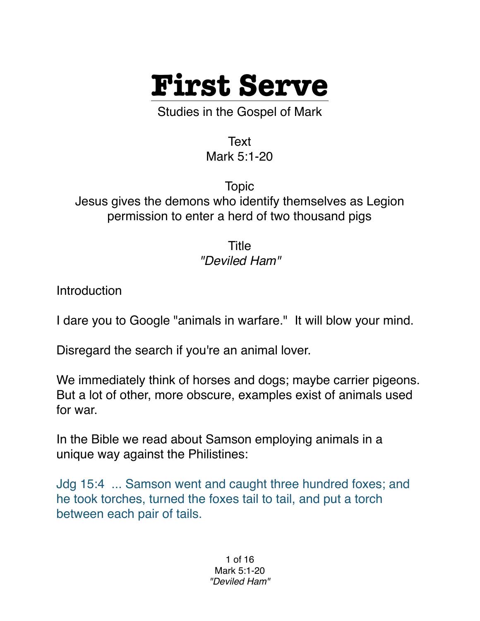

Studies in the Gospel of Mark

Text Mark 5:1-20

Topic Jesus gives the demons who identify themselves as Legion permission to enter a herd of two thousand pigs

> Title *"Deviled Ham"*

Introduction

I dare you to Google "animals in warfare." It will blow your mind.

Disregard the search if you're an animal lover.

We immediately think of horses and dogs; maybe carrier pigeons. But a lot of other, more obscure, examples exist of animals used for war.

In the Bible we read about Samson employing animals in a unique way against the Philistines:

Jdg 15:4 ... Samson went and caught three hundred foxes; and he took torches, turned the foxes tail to tail, and put a torch between each pair of tails.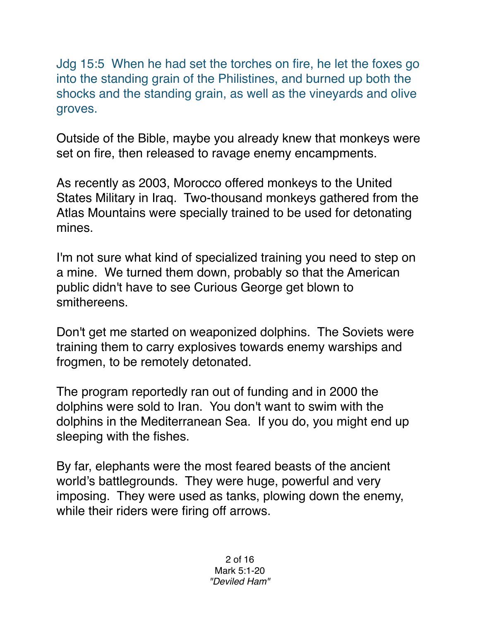Jdg 15:5 When he had set the torches on fire, he let the foxes go into the standing grain of the Philistines, and burned up both the shocks and the standing grain, as well as the vineyards and olive groves.

Outside of the Bible, maybe you already knew that monkeys were set on fire, then released to ravage enemy encampments.

As recently as 2003, Morocco offered monkeys to the United States Military in Iraq. Two-thousand monkeys gathered from the Atlas Mountains were specially trained to be used for detonating mines.

I'm not sure what kind of specialized training you need to step on a mine. We turned them down, probably so that the American public didn't have to see Curious George get blown to smithereens.

Don't get me started on weaponized dolphins. The Soviets were training them to carry explosives towards enemy warships and frogmen, to be remotely detonated.

The program reportedly ran out of funding and in 2000 the dolphins were sold to Iran. You don't want to swim with the dolphins in the Mediterranean Sea. If you do, you might end up sleeping with the fishes.

By far, elephants were the most feared beasts of the ancient world's battlegrounds. They were huge, powerful and very imposing. They were used as tanks, plowing down the enemy, while their riders were firing off arrows.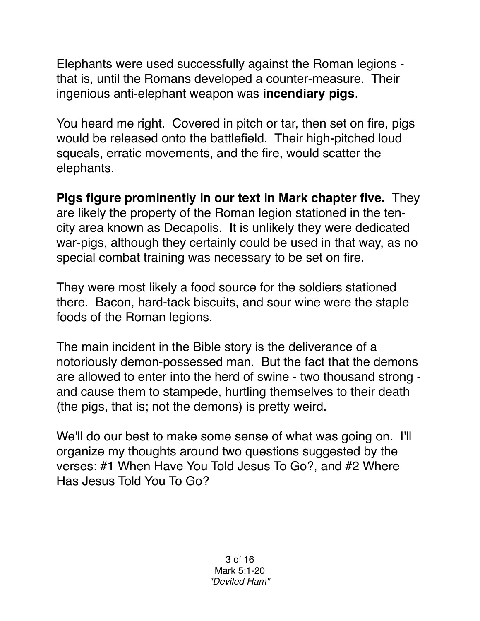Elephants were used successfully against the Roman legions that is, until the Romans developed a counter-measure. Their ingenious anti-elephant weapon was **incendiary pigs**.

You heard me right. Covered in pitch or tar, then set on fire, pigs would be released onto the battlefield. Their high-pitched loud squeals, erratic movements, and the fire, would scatter the elephants.

**Pigs figure prominently in our text in Mark chapter five.** They are likely the property of the Roman legion stationed in the tencity area known as Decapolis. It is unlikely they were dedicated war-pigs, although they certainly could be used in that way, as no special combat training was necessary to be set on fire.

They were most likely a food source for the soldiers stationed there. Bacon, hard-tack biscuits, and sour wine were the staple foods of the Roman legions.

The main incident in the Bible story is the deliverance of a notoriously demon-possessed man. But the fact that the demons are allowed to enter into the herd of swine - two thousand strong and cause them to stampede, hurtling themselves to their death (the pigs, that is; not the demons) is pretty weird.

We'll do our best to make some sense of what was going on. I'll organize my thoughts around two questions suggested by the verses: #1 When Have You Told Jesus To Go?, and #2 Where Has Jesus Told You To Go?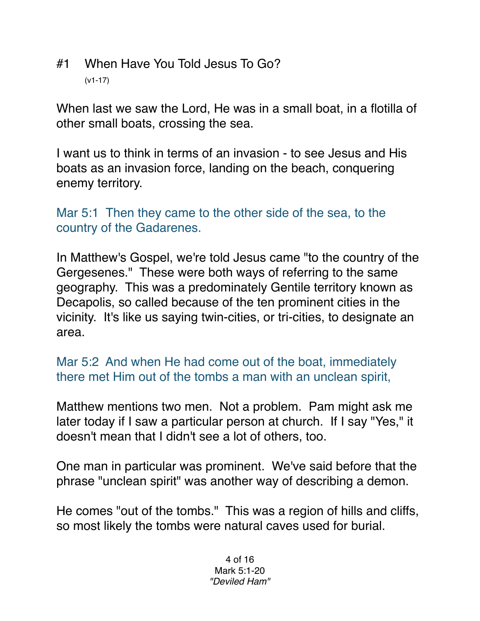#1 When Have You Told Jesus To Go? (v1-17)

When last we saw the Lord, He was in a small boat, in a flotilla of other small boats, crossing the sea.

I want us to think in terms of an invasion - to see Jesus and His boats as an invasion force, landing on the beach, conquering enemy territory.

Mar 5:1 Then they came to the other side of the sea, to the country of the Gadarenes.

In Matthew's Gospel, we're told Jesus came "to the country of the Gergesenes." These were both ways of referring to the same geography. This was a predominately Gentile territory known as Decapolis, so called because of the ten prominent cities in the vicinity. It's like us saying twin-cities, or tri-cities, to designate an area.

Mar 5:2 And when He had come out of the boat, immediately there met Him out of the tombs a man with an unclean spirit,

Matthew mentions two men. Not a problem. Pam might ask me later today if I saw a particular person at church. If I say "Yes," it doesn't mean that I didn't see a lot of others, too.

One man in particular was prominent. We've said before that the phrase "unclean spirit" was another way of describing a demon.

He comes "out of the tombs." This was a region of hills and cliffs, so most likely the tombs were natural caves used for burial.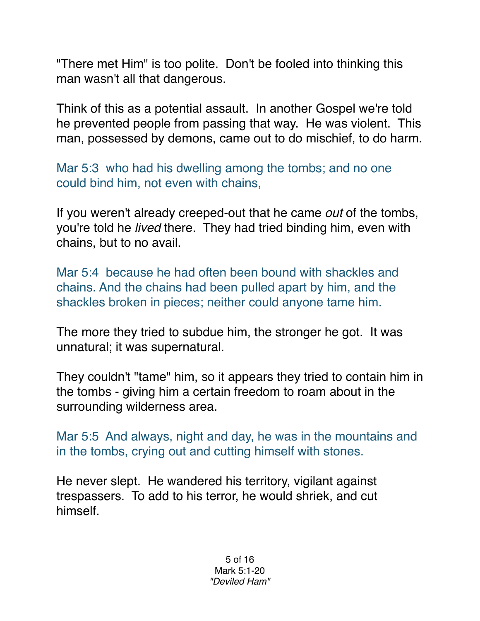"There met Him" is too polite. Don't be fooled into thinking this man wasn't all that dangerous.

Think of this as a potential assault. In another Gospel we're told he prevented people from passing that way. He was violent. This man, possessed by demons, came out to do mischief, to do harm.

Mar 5:3 who had his dwelling among the tombs; and no one could bind him, not even with chains,

If you weren't already creeped-out that he came *out* of the tombs, you're told he *lived* there. They had tried binding him, even with chains, but to no avail.

Mar 5:4 because he had often been bound with shackles and chains. And the chains had been pulled apart by him, and the shackles broken in pieces; neither could anyone tame him.

The more they tried to subdue him, the stronger he got. It was unnatural; it was supernatural.

They couldn't "tame" him, so it appears they tried to contain him in the tombs - giving him a certain freedom to roam about in the surrounding wilderness area.

Mar 5:5 And always, night and day, he was in the mountains and in the tombs, crying out and cutting himself with stones.

He never slept. He wandered his territory, vigilant against trespassers. To add to his terror, he would shriek, and cut himself.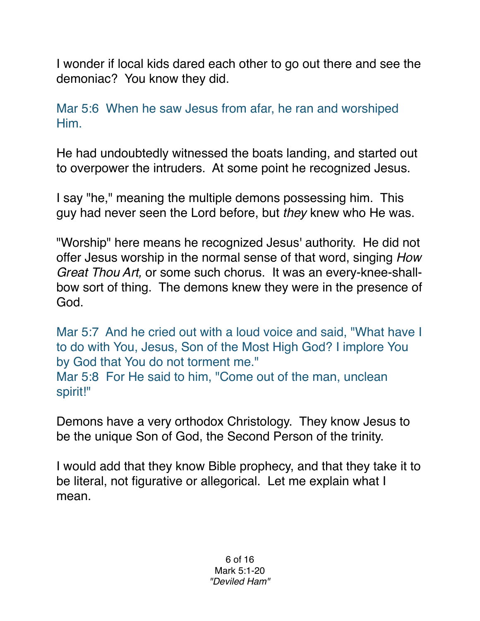I wonder if local kids dared each other to go out there and see the demoniac? You know they did.

Mar 5:6 When he saw Jesus from afar, he ran and worshiped Him.

He had undoubtedly witnessed the boats landing, and started out to overpower the intruders. At some point he recognized Jesus.

I say "he," meaning the multiple demons possessing him. This guy had never seen the Lord before, but *they* knew who He was.

"Worship" here means he recognized Jesus' authority. He did not offer Jesus worship in the normal sense of that word, singing *How Great Thou Art,* or some such chorus. It was an every-knee-shallbow sort of thing. The demons knew they were in the presence of God.

Mar 5:7 And he cried out with a loud voice and said, "What have I to do with You, Jesus, Son of the Most High God? I implore You by God that You do not torment me." Mar 5:8 For He said to him, "Come out of the man, unclean spirit!"

Demons have a very orthodox Christology. They know Jesus to be the unique Son of God, the Second Person of the trinity.

I would add that they know Bible prophecy, and that they take it to be literal, not figurative or allegorical. Let me explain what I mean.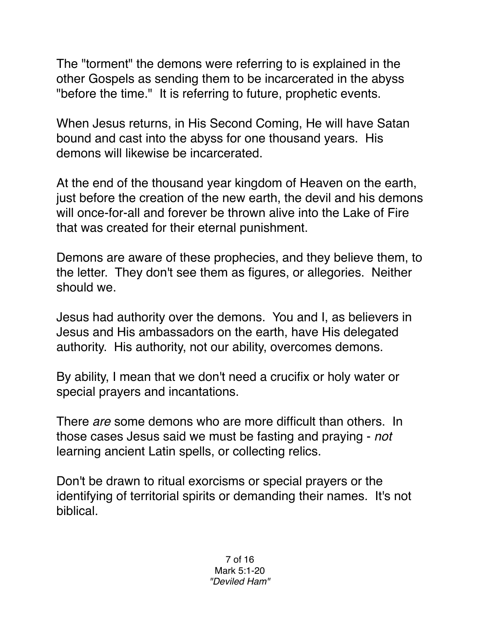The "torment" the demons were referring to is explained in the other Gospels as sending them to be incarcerated in the abyss "before the time." It is referring to future, prophetic events.

When Jesus returns, in His Second Coming, He will have Satan bound and cast into the abyss for one thousand years. His demons will likewise be incarcerated.

At the end of the thousand year kingdom of Heaven on the earth, just before the creation of the new earth, the devil and his demons will once-for-all and forever be thrown alive into the Lake of Fire that was created for their eternal punishment.

Demons are aware of these prophecies, and they believe them, to the letter. They don't see them as figures, or allegories. Neither should we.

Jesus had authority over the demons. You and I, as believers in Jesus and His ambassadors on the earth, have His delegated authority. His authority, not our ability, overcomes demons.

By ability, I mean that we don't need a crucifix or holy water or special prayers and incantations.

There *are* some demons who are more difficult than others. In those cases Jesus said we must be fasting and praying - *not* learning ancient Latin spells, or collecting relics.

Don't be drawn to ritual exorcisms or special prayers or the identifying of territorial spirits or demanding their names. It's not biblical.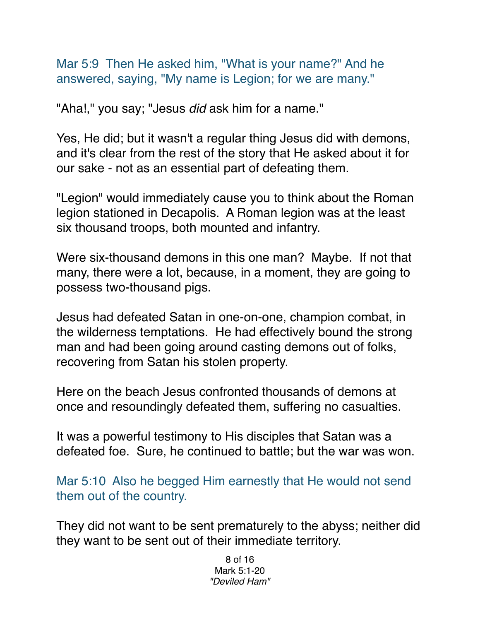Mar 5:9 Then He asked him, "What is your name?" And he answered, saying, "My name is Legion; for we are many."

"Aha!," you say; "Jesus *did* ask him for a name."

Yes, He did; but it wasn't a regular thing Jesus did with demons, and it's clear from the rest of the story that He asked about it for our sake - not as an essential part of defeating them.

"Legion" would immediately cause you to think about the Roman legion stationed in Decapolis. A Roman legion was at the least six thousand troops, both mounted and infantry.

Were six-thousand demons in this one man? Maybe. If not that many, there were a lot, because, in a moment, they are going to possess two-thousand pigs.

Jesus had defeated Satan in one-on-one, champion combat, in the wilderness temptations. He had effectively bound the strong man and had been going around casting demons out of folks, recovering from Satan his stolen property.

Here on the beach Jesus confronted thousands of demons at once and resoundingly defeated them, suffering no casualties.

It was a powerful testimony to His disciples that Satan was a defeated foe. Sure, he continued to battle; but the war was won.

Mar 5:10 Also he begged Him earnestly that He would not send them out of the country.

They did not want to be sent prematurely to the abyss; neither did they want to be sent out of their immediate territory.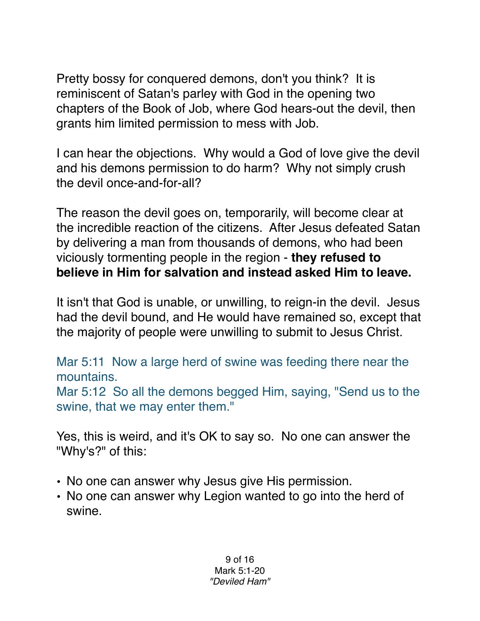Pretty bossy for conquered demons, don't you think? It is reminiscent of Satan's parley with God in the opening two chapters of the Book of Job, where God hears-out the devil, then grants him limited permission to mess with Job.

I can hear the objections. Why would a God of love give the devil and his demons permission to do harm? Why not simply crush the devil once-and-for-all?

The reason the devil goes on, temporarily, will become clear at the incredible reaction of the citizens. After Jesus defeated Satan by delivering a man from thousands of demons, who had been viciously tormenting people in the region - **they refused to believe in Him for salvation and instead asked Him to leave.** 

It isn't that God is unable, or unwilling, to reign-in the devil. Jesus had the devil bound, and He would have remained so, except that the majority of people were unwilling to submit to Jesus Christ.

Mar 5:11 Now a large herd of swine was feeding there near the mountains. Mar 5:12 So all the demons begged Him, saying, "Send us to the swine, that we may enter them."

Yes, this is weird, and it's OK to say so. No one can answer the "Why's?" of this:

- No one can answer why Jesus give His permission.
- No one can answer why Legion wanted to go into the herd of swine.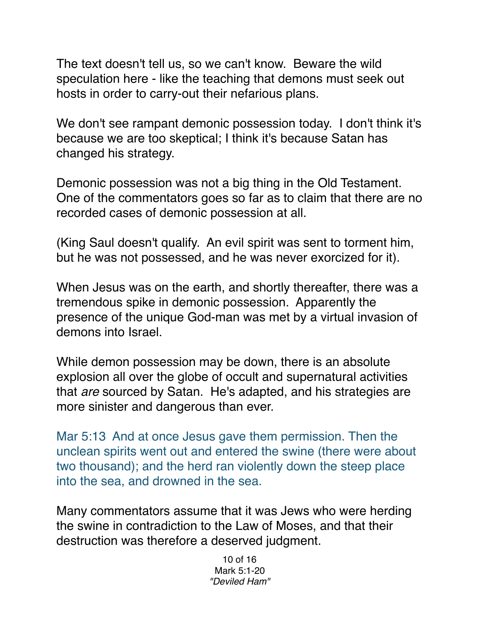The text doesn't tell us, so we can't know. Beware the wild speculation here - like the teaching that demons must seek out hosts in order to carry-out their nefarious plans.

We don't see rampant demonic possession today. I don't think it's because we are too skeptical; I think it's because Satan has changed his strategy.

Demonic possession was not a big thing in the Old Testament. One of the commentators goes so far as to claim that there are no recorded cases of demonic possession at all.

(King Saul doesn't qualify. An evil spirit was sent to torment him, but he was not possessed, and he was never exorcized for it).

When Jesus was on the earth, and shortly thereafter, there was a tremendous spike in demonic possession. Apparently the presence of the unique God-man was met by a virtual invasion of demons into Israel.

While demon possession may be down, there is an absolute explosion all over the globe of occult and supernatural activities that *are* sourced by Satan. He's adapted, and his strategies are more sinister and dangerous than ever.

Mar 5:13 And at once Jesus gave them permission. Then the unclean spirits went out and entered the swine (there were about two thousand); and the herd ran violently down the steep place into the sea, and drowned in the sea.

Many commentators assume that it was Jews who were herding the swine in contradiction to the Law of Moses, and that their destruction was therefore a deserved judgment.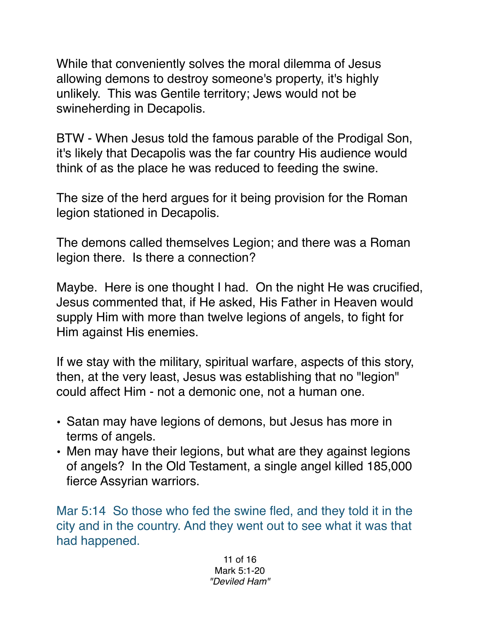While that conveniently solves the moral dilemma of Jesus allowing demons to destroy someone's property, it's highly unlikely. This was Gentile territory; Jews would not be swineherding in Decapolis.

BTW - When Jesus told the famous parable of the Prodigal Son, it's likely that Decapolis was the far country His audience would think of as the place he was reduced to feeding the swine.

The size of the herd argues for it being provision for the Roman legion stationed in Decapolis.

The demons called themselves Legion; and there was a Roman legion there. Is there a connection?

Maybe. Here is one thought I had. On the night He was crucified, Jesus commented that, if He asked, His Father in Heaven would supply Him with more than twelve legions of angels, to fight for Him against His enemies.

If we stay with the military, spiritual warfare, aspects of this story, then, at the very least, Jesus was establishing that no "legion" could affect Him - not a demonic one, not a human one.

- Satan may have legions of demons, but Jesus has more in terms of angels.
- Men may have their legions, but what are they against legions of angels? In the Old Testament, a single angel killed 185,000 fierce Assyrian warriors.

Mar 5:14 So those who fed the swine fled, and they told it in the city and in the country. And they went out to see what it was that had happened.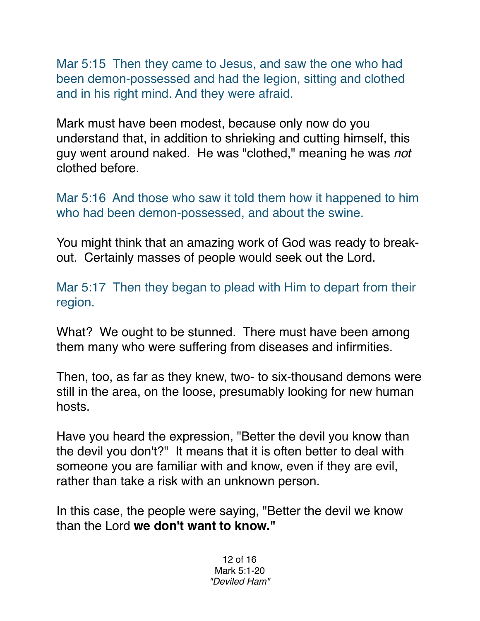Mar 5:15 Then they came to Jesus, and saw the one who had been demon-possessed and had the legion, sitting and clothed and in his right mind. And they were afraid.

Mark must have been modest, because only now do you understand that, in addition to shrieking and cutting himself, this guy went around naked. He was "clothed," meaning he was *not* clothed before.

Mar 5:16 And those who saw it told them how it happened to him who had been demon-possessed, and about the swine.

You might think that an amazing work of God was ready to breakout. Certainly masses of people would seek out the Lord.

Mar 5:17 Then they began to plead with Him to depart from their region.

What? We ought to be stunned. There must have been among them many who were suffering from diseases and infirmities.

Then, too, as far as they knew, two- to six-thousand demons were still in the area, on the loose, presumably looking for new human hosts.

Have you heard the expression, "Better the devil you know than the devil you don't?" It means that it is often better to deal with someone you are familiar with and know, even if they are evil, rather than take a risk with an unknown person.

In this case, the people were saying, "Better the devil we know than the Lord **we don't want to know."**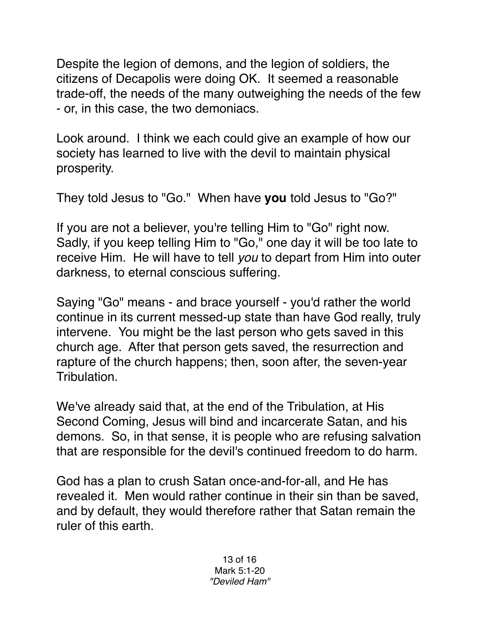Despite the legion of demons, and the legion of soldiers, the citizens of Decapolis were doing OK. It seemed a reasonable trade-off, the needs of the many outweighing the needs of the few - or, in this case, the two demoniacs.

Look around. I think we each could give an example of how our society has learned to live with the devil to maintain physical prosperity.

They told Jesus to "Go." When have **you** told Jesus to "Go?"

If you are not a believer, you're telling Him to "Go" right now. Sadly, if you keep telling Him to "Go," one day it will be too late to receive Him. He will have to tell *you* to depart from Him into outer darkness, to eternal conscious suffering.

Saying "Go" means - and brace yourself - you'd rather the world continue in its current messed-up state than have God really, truly intervene. You might be the last person who gets saved in this church age. After that person gets saved, the resurrection and rapture of the church happens; then, soon after, the seven-year Tribulation.

We've already said that, at the end of the Tribulation, at His Second Coming, Jesus will bind and incarcerate Satan, and his demons. So, in that sense, it is people who are refusing salvation that are responsible for the devil's continued freedom to do harm.

God has a plan to crush Satan once-and-for-all, and He has revealed it. Men would rather continue in their sin than be saved, and by default, they would therefore rather that Satan remain the ruler of this earth.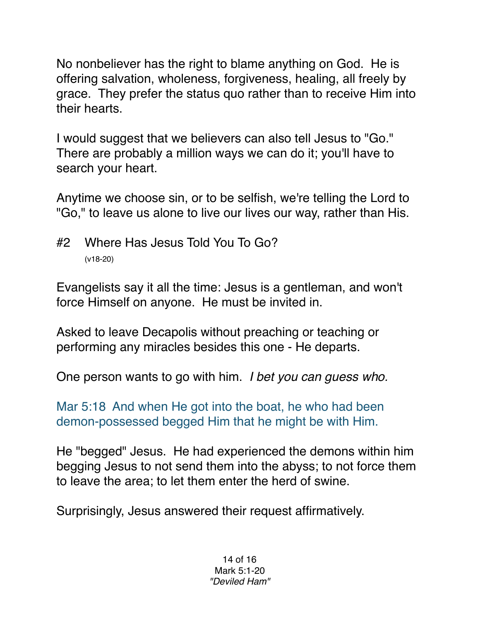No nonbeliever has the right to blame anything on God. He is offering salvation, wholeness, forgiveness, healing, all freely by grace. They prefer the status quo rather than to receive Him into their hearts.

I would suggest that we believers can also tell Jesus to "Go." There are probably a million ways we can do it; you'll have to search your heart.

Anytime we choose sin, or to be selfish, we're telling the Lord to "Go," to leave us alone to live our lives our way, rather than His.

#2 Where Has Jesus Told You To Go? (v18-20)

Evangelists say it all the time: Jesus is a gentleman, and won't force Himself on anyone. He must be invited in.

Asked to leave Decapolis without preaching or teaching or performing any miracles besides this one - He departs.

One person wants to go with him. *I bet you can guess who.*

Mar 5:18 And when He got into the boat, he who had been demon-possessed begged Him that he might be with Him.

He "begged" Jesus. He had experienced the demons within him begging Jesus to not send them into the abyss; to not force them to leave the area; to let them enter the herd of swine.

Surprisingly, Jesus answered their request affirmatively.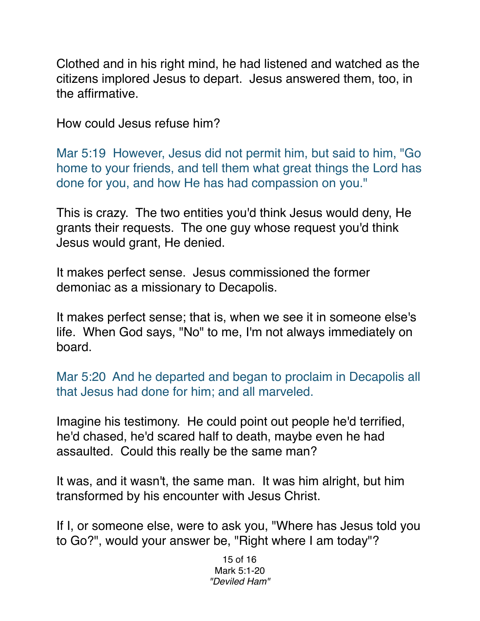Clothed and in his right mind, he had listened and watched as the citizens implored Jesus to depart. Jesus answered them, too, in the affirmative.

How could Jesus refuse him?

Mar 5:19 However, Jesus did not permit him, but said to him, "Go home to your friends, and tell them what great things the Lord has done for you, and how He has had compassion on you."

This is crazy. The two entities you'd think Jesus would deny, He grants their requests. The one guy whose request you'd think Jesus would grant, He denied.

It makes perfect sense. Jesus commissioned the former demoniac as a missionary to Decapolis.

It makes perfect sense; that is, when we see it in someone else's life. When God says, "No" to me, I'm not always immediately on board.

Mar 5:20 And he departed and began to proclaim in Decapolis all that Jesus had done for him; and all marveled.

Imagine his testimony. He could point out people he'd terrified, he'd chased, he'd scared half to death, maybe even he had assaulted. Could this really be the same man?

It was, and it wasn't, the same man. It was him alright, but him transformed by his encounter with Jesus Christ.

If I, or someone else, were to ask you, "Where has Jesus told you to Go?", would your answer be, "Right where I am today"?